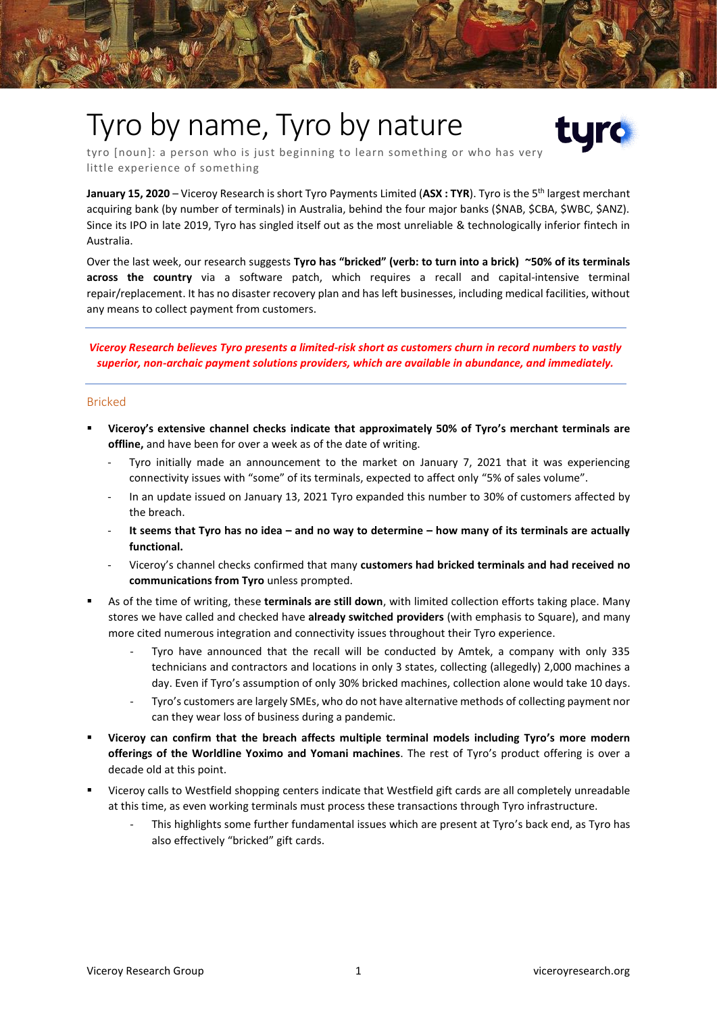# Tyro by name, Tyro by nature



tyro [noun]: a person who is just beginning to learn something or who has very little experience of something

**January 15, 2020** – Viceroy Research is short Tyro Payments Limited (**ASX : TYR**). Tyro is the 5th largest merchant acquiring bank (by number of terminals) in Australia, behind the four major banks (\$NAB, \$CBA, \$WBC, \$ANZ). Since its IPO in late 2019, Tyro has singled itself out as the most unreliable & technologically inferior fintech in Australia.

Over the last week, our research suggests **Tyro has "bricked" (verb: to turn into a brick) ~50% of its terminals across the country** via a software patch, which requires a recall and capital-intensive terminal repair/replacement. It has no disaster recovery plan and has left businesses, including medical facilities, without any means to collect payment from customers.

*Viceroy Research believes Tyro presents a limited-risk short as customers churn in record numbers to vastly superior, non-archaic payment solutions providers, which are available in abundance, and immediately.*

#### Bricked

- **Viceroy's extensive channel checks indicate that approximately 50% of Tyro's merchant terminals are offline,** and have been for over a week as of the date of writing.
	- Tyro initially made an announcement to the market on January 7, 2021 that it was experiencing connectivity issues with "some" of its terminals, expected to affect only "5% of sales volume".
	- In an update issued on January 13, 2021 Tyro expanded this number to 30% of customers affected by the breach.
	- **It seems that Tyro has no idea – and no way to determine – how many of its terminals are actually functional.**
	- Viceroy's channel checks confirmed that many **customers had bricked terminals and had received no communications from Tyro** unless prompted.
- As of the time of writing, these **terminals are still down**, with limited collection efforts taking place. Many stores we have called and checked have **already switched providers** (with emphasis to Square), and many more cited numerous integration and connectivity issues throughout their Tyro experience.
	- Tyro have announced that the recall will be conducted by Amtek, a company with only 335 technicians and contractors and locations in only 3 states, collecting (allegedly) 2,000 machines a day. Even if Tyro's assumption of only 30% bricked machines, collection alone would take 10 days.
	- Tyro's customers are largely SMEs, who do not have alternative methods of collecting payment nor can they wear loss of business during a pandemic.
- **Viceroy can confirm that the breach affects multiple terminal models including Tyro's more modern offerings of the Worldline Yoximo and Yomani machines**. The rest of Tyro's product offering is over a decade old at this point.
- Viceroy calls to Westfield shopping centers indicate that Westfield gift cards are all completely unreadable at this time, as even working terminals must process these transactions through Tyro infrastructure.
	- This highlights some further fundamental issues which are present at Tyro's back end, as Tyro has also effectively "bricked" gift cards.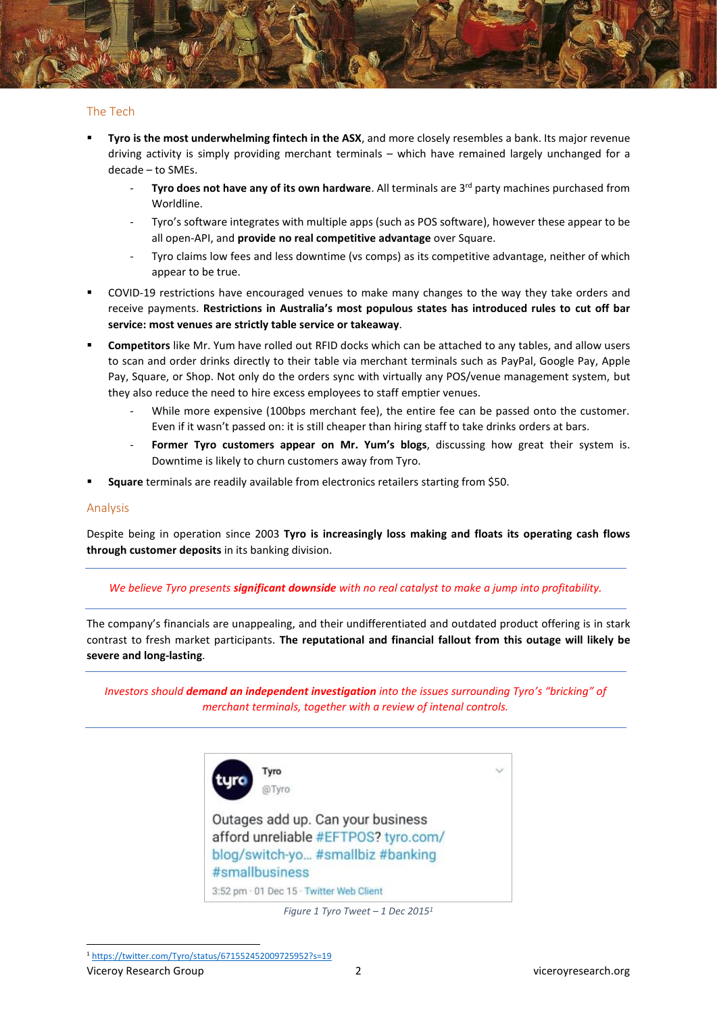

- Tyro is the most underwhelming fintech in the ASX, and more closely resembles a bank. Its major revenue driving activity is simply providing merchant terminals – which have remained largely unchanged for a decade – to SMEs.
	- **Tyro does not have any of its own hardware**. All terminals are 3<sup>rd</sup> party machines purchased from Worldline.
	- Tyro's software integrates with multiple apps (such as POS software), however these appear to be all open-API, and **provide no real competitive advantage** over Square.
	- Tyro claims low fees and less downtime (vs comps) as its competitive advantage, neither of which appear to be true.
- COVID-19 restrictions have encouraged venues to make many changes to the way they take orders and receive payments. **Restrictions in Australia's most populous states has introduced rules to cut off bar service: most venues are strictly table service or takeaway**.
- **Competitors** like Mr. Yum have rolled out RFID docks which can be attached to any tables, and allow users to scan and order drinks directly to their table via merchant terminals such as PayPal, Google Pay, Apple Pay, Square, or Shop. Not only do the orders sync with virtually any POS/venue management system, but they also reduce the need to hire excess employees to staff emptier venues.
	- While more expensive (100bps merchant fee), the entire fee can be passed onto the customer. Even if it wasn't passed on: it is still cheaper than hiring staff to take drinks orders at bars.
	- **Former Tyro customers appear on Mr. Yum's blogs**, discussing how great their system is. Downtime is likely to churn customers away from Tyro.
- **Square** terminals are readily available from electronics retailers starting from \$50.

#### Analysis

Despite being in operation since 2003 **Tyro is increasingly loss making and floats its operating cash flows through customer deposits** in its banking division.

#### *We believe Tyro presents significant downside with no real catalyst to make a jump into profitability.*

The company's financials are unappealing, and their undifferentiated and outdated product offering is in stark contrast to fresh market participants. **The reputational and financial fallout from this outage will likely be severe and long-lasting**.

*Investors should demand an independent investigation into the issues surrounding Tyro's "bricking" of merchant terminals, together with a review of intenal controls.*



Outages add up. Can your business afford unreliable #EFTPOS? tyro.com/ blog/switch-yo... #smallbiz #banking #smallbusiness 3:52 pm · 01 Dec 15 · Twitter Web Client

*Figure 1 Tyro Tweet – 1 Dec 2015<sup>1</sup>*

<sup>1</sup> <https://twitter.com/Tyro/status/671552452009725952?s=19>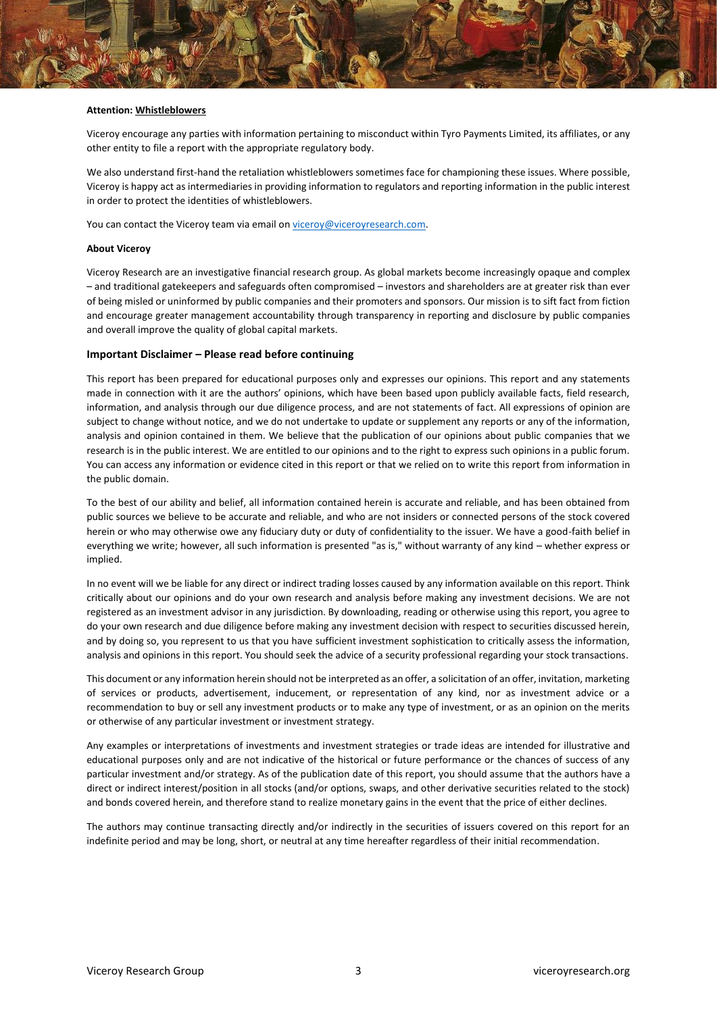

#### **Attention: Whistleblowers**

Viceroy encourage any parties with information pertaining to misconduct within Tyro Payments Limited, its affiliates, or any other entity to file a report with the appropriate regulatory body.

We also understand first-hand the retaliation whistleblowers sometimes face for championing these issues. Where possible, Viceroy is happy act as intermediaries in providing information to regulators and reporting information in the public interest in order to protect the identities of whistleblowers.

You can contact the Viceroy team via email on viceroy@viceroyresearch.com.

#### **About Viceroy**

Viceroy Research are an investigative financial research group. As global markets become increasingly opaque and complex – and traditional gatekeepers and safeguards often compromised – investors and shareholders are at greater risk than ever of being misled or uninformed by public companies and their promoters and sponsors. Our mission is to sift fact from fiction and encourage greater management accountability through transparency in reporting and disclosure by public companies and overall improve the quality of global capital markets.

#### **Important Disclaimer – Please read before continuing**

This report has been prepared for educational purposes only and expresses our opinions. This report and any statements made in connection with it are the authors' opinions, which have been based upon publicly available facts, field research, information, and analysis through our due diligence process, and are not statements of fact. All expressions of opinion are subject to change without notice, and we do not undertake to update or supplement any reports or any of the information, analysis and opinion contained in them. We believe that the publication of our opinions about public companies that we research is in the public interest. We are entitled to our opinions and to the right to express such opinions in a public forum. You can access any information or evidence cited in this report or that we relied on to write this report from information in the public domain.

To the best of our ability and belief, all information contained herein is accurate and reliable, and has been obtained from public sources we believe to be accurate and reliable, and who are not insiders or connected persons of the stock covered herein or who may otherwise owe any fiduciary duty or duty of confidentiality to the issuer. We have a good-faith belief in everything we write; however, all such information is presented "as is," without warranty of any kind – whether express or implied.

In no event will we be liable for any direct or indirect trading losses caused by any information available on this report. Think critically about our opinions and do your own research and analysis before making any investment decisions. We are not registered as an investment advisor in any jurisdiction. By downloading, reading or otherwise using this report, you agree to do your own research and due diligence before making any investment decision with respect to securities discussed herein, and by doing so, you represent to us that you have sufficient investment sophistication to critically assess the information, analysis and opinions in this report. You should seek the advice of a security professional regarding your stock transactions.

This document or any information herein should not be interpreted as an offer, a solicitation of an offer, invitation, marketing of services or products, advertisement, inducement, or representation of any kind, nor as investment advice or a recommendation to buy or sell any investment products or to make any type of investment, or as an opinion on the merits or otherwise of any particular investment or investment strategy.

Any examples or interpretations of investments and investment strategies or trade ideas are intended for illustrative and educational purposes only and are not indicative of the historical or future performance or the chances of success of any particular investment and/or strategy. As of the publication date of this report, you should assume that the authors have a direct or indirect interest/position in all stocks (and/or options, swaps, and other derivative securities related to the stock) and bonds covered herein, and therefore stand to realize monetary gains in the event that the price of either declines.

The authors may continue transacting directly and/or indirectly in the securities of issuers covered on this report for an indefinite period and may be long, short, or neutral at any time hereafter regardless of their initial recommendation.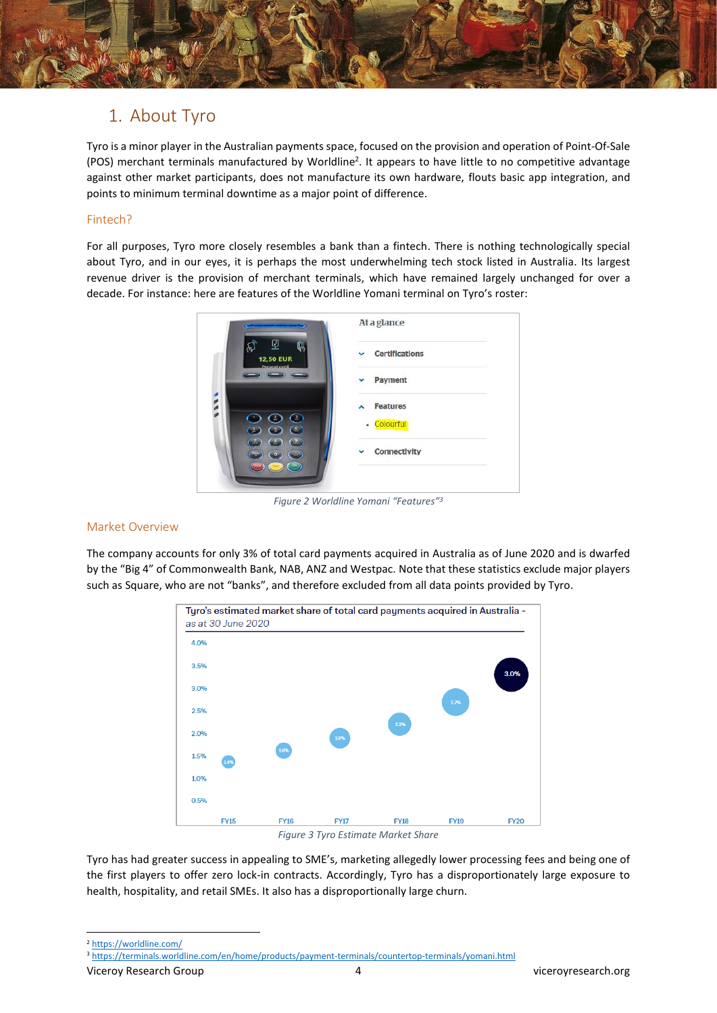# 1. About Tyro

Tyro is a minor player in the Australian payments space, focused on the provision and operation of Point-Of-Sale (POS) merchant terminals manufactured by Worldline<sup>2</sup>. It appears to have little to no competitive advantage against other market participants, does not manufacture its own hardware, flouts basic app integration, and points to minimum terminal downtime as a major point of difference.

## Fintech?

For all purposes, Tyro more closely resembles a bank than a fintech. There is nothing technologically special about Tyro, and in our eyes, it is perhaps the most underwhelming tech stock listed in Australia. Its largest revenue driver is the provision of merchant terminals, which have remained largely unchanged for over a decade. For instance: here are features of the Worldline Yomani terminal on Tyro's roster:



*Figure 2 Worldline Yomani "Features" 3*

#### Market Overview

The company accounts for only 3% of total card payments acquired in Australia as of June 2020 and is dwarfed by the "Big 4" of Commonwealth Bank, NAB, ANZ and Westpac. Note that these statistics exclude major players such as Square, who are not "banks", and therefore excluded from all data points provided by Tyro.



*Figure 3 Tyro Estimate Market Share*

Tyro has had greater success in appealing to SME's, marketing allegedly lower processing fees and being one of the first players to offer zero lock-in contracts. Accordingly, Tyro has a disproportionately large exposure to health, hospitality, and retail SMEs. It also has a disproportionally large churn.

Viceroy Research Group 4 viceroyresearch.org

<sup>2</sup> <https://worldline.com/>

<sup>3</sup> <https://terminals.worldline.com/en/home/products/payment-terminals/countertop-terminals/yomani.html>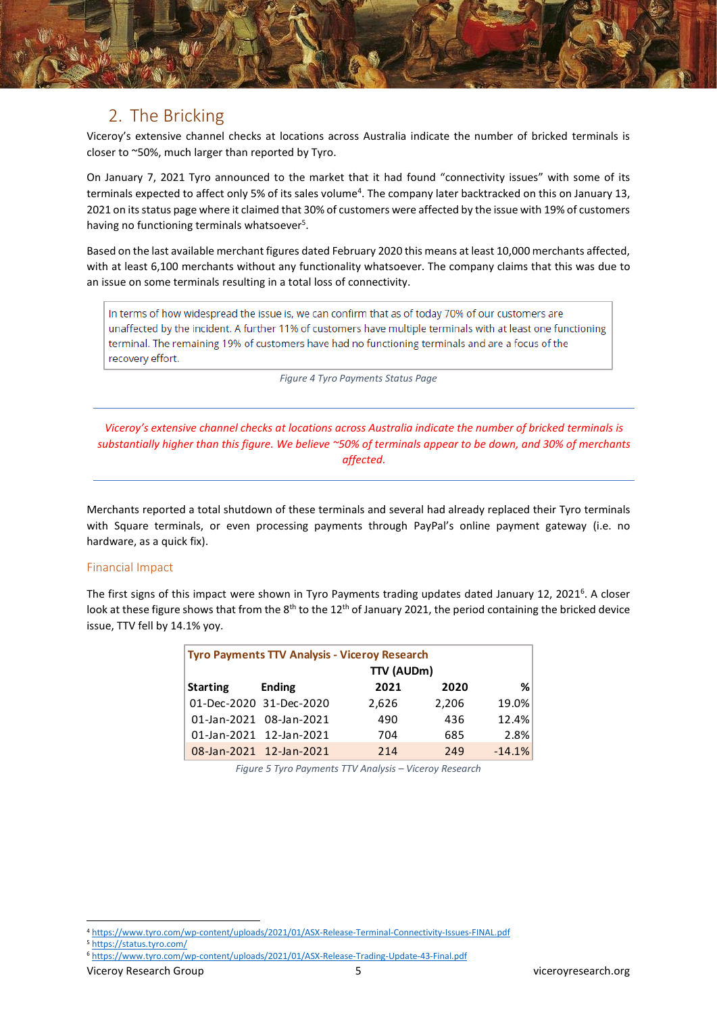# 2. The Bricking

Viceroy's extensive channel checks at locations across Australia indicate the number of bricked terminals is closer to ~50%, much larger than reported by Tyro.

On January 7, 2021 Tyro announced to the market that it had found "connectivity issues" with some of its terminals expected to affect only 5% of its sales volume<sup>4</sup>. The company later backtracked on this on January 13, 2021 on its status page where it claimed that 30% of customers were affected by the issue with 19% of customers having no functioning terminals whatsoever<sup>5</sup>.

Based on the last available merchant figures dated February 2020 this means at least 10,000 merchants affected, with at least 6,100 merchants without any functionality whatsoever. The company claims that this was due to an issue on some terminals resulting in a total loss of connectivity.

In terms of how widespread the issue is, we can confirm that as of today 70% of our customers are unaffected by the incident. A further 11% of customers have multiple terminals with at least one functioning terminal. The remaining 19% of customers have had no functioning terminals and are a focus of the recovery effort.

*Figure 4 Tyro Payments Status Page*

*Viceroy's extensive channel checks at locations across Australia indicate the number of bricked terminals is substantially higher than this figure. We believe ~50% of terminals appear to be down, and 30% of merchants affected.*

Merchants reported a total shutdown of these terminals and several had already replaced their Tyro terminals with Square terminals, or even processing payments through PayPal's online payment gateway (i.e. no hardware, as a quick fix).

## Financial Impact

The first signs of this impact were shown in Tyro Payments trading updates dated January 12, 2021<sup>6</sup>. A closer look at these figure shows that from the 8<sup>th</sup> to the 12<sup>th</sup> of January 2021, the period containing the bricked device issue, TTV fell by 14.1% yoy.

| <b>Tyro Payments TTV Analysis - Viceroy Research</b> |                         |       |       |          |  |
|------------------------------------------------------|-------------------------|-------|-------|----------|--|
|                                                      | TTV (AUDm)              |       |       |          |  |
| <b>Starting</b>                                      | <b>Ending</b>           | 2021  | 2020  | ℅        |  |
|                                                      | 01-Dec-2020 31-Dec-2020 | 2,626 | 2,206 | 19.0%    |  |
|                                                      | 01-Jan-2021 08-Jan-2021 | 490   | 436   | 12.4%    |  |
|                                                      | 01-Jan-2021 12-Jan-2021 | 704   | 685   | 2.8%     |  |
|                                                      | 08-Jan-2021 12-Jan-2021 | 214   | 249   | $-14.1%$ |  |

*Figure 5 Tyro Payments TTV Analysis – Viceroy Research*

<sup>4</sup> <https://www.tyro.com/wp-content/uploads/2021/01/ASX-Release-Terminal-Connectivity-Issues-FINAL.pdf>

<sup>5</sup> <https://status.tyro.com/>

<sup>6</sup> <https://www.tyro.com/wp-content/uploads/2021/01/ASX-Release-Trading-Update-43-Final.pdf>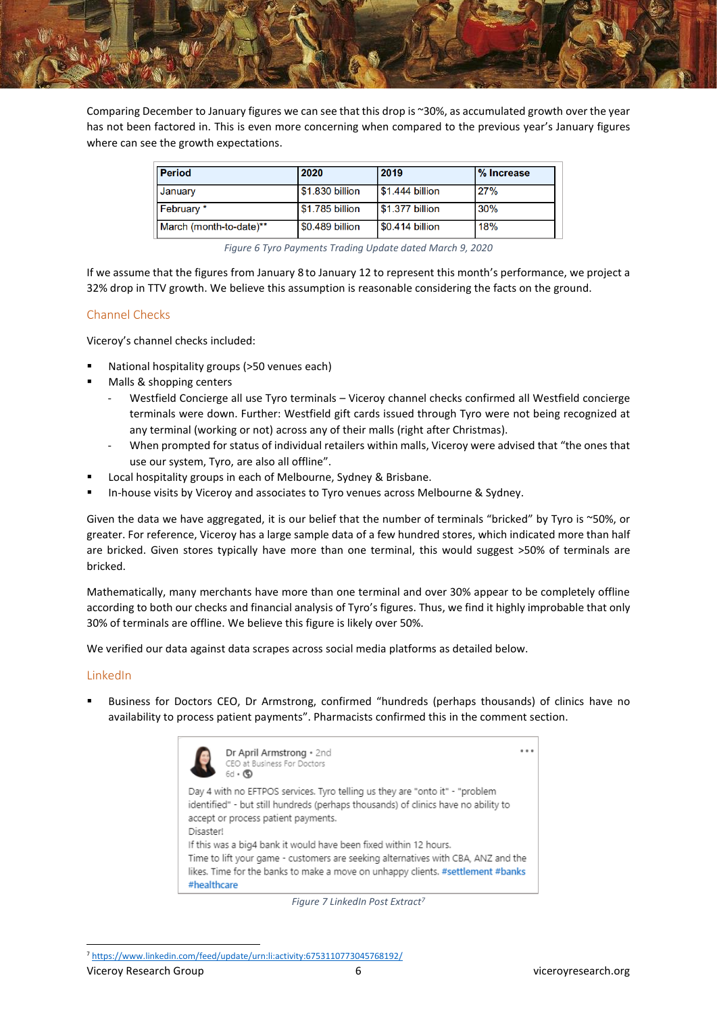

Comparing December to January figures we can see that this drop is ~30%, as accumulated growth over the year has not been factored in. This is even more concerning when compared to the previous year's January figures where can see the growth expectations.

| <b>Period</b>           | 2020            | 2019                    | % Increase |
|-------------------------|-----------------|-------------------------|------------|
| January                 | \$1.830 billion | $\sqrt{51.444}$ billion | 27%        |
| February *              | \$1.785 billion | \$1.377 billion         | 30%        |
| March (month-to-date)** | \$0.489 billion | \$0.414 billion         | 18%        |

*Figure 6 Tyro Payments Trading Update dated March 9, 2020*

If we assume that the figures from January 8 to January 12 to represent this month's performance, we project a 32% drop in TTV growth. We believe this assumption is reasonable considering the facts on the ground.

## Channel Checks

Viceroy's channel checks included:

- National hospitality groups (>50 venues each)
- Malls & shopping centers
	- Westfield Concierge all use Tyro terminals Viceroy channel checks confirmed all Westfield concierge terminals were down. Further: Westfield gift cards issued through Tyro were not being recognized at any terminal (working or not) across any of their malls (right after Christmas).
	- When prompted for status of individual retailers within malls, Viceroy were advised that "the ones that use our system, Tyro, are also all offline".
- Local hospitality groups in each of Melbourne, Sydney & Brisbane.
- In-house visits by Viceroy and associates to Tyro venues across Melbourne & Sydney.

Given the data we have aggregated, it is our belief that the number of terminals "bricked" by Tyro is ~50%, or greater. For reference, Viceroy has a large sample data of a few hundred stores, which indicated more than half are bricked. Given stores typically have more than one terminal, this would suggest >50% of terminals are bricked.

Mathematically, many merchants have more than one terminal and over 30% appear to be completely offline according to both our checks and financial analysis of Tyro's figures. Thus, we find it highly improbable that only 30% of terminals are offline. We believe this figure is likely over 50%.

We verified our data against data scrapes across social media platforms as detailed below.

#### LinkedIn

Business for Doctors CEO, Dr Armstrong, confirmed "hundreds (perhaps thousands) of clinics have no availability to process patient payments". Pharmacists confirmed this in the comment section.



*Figure 7 LinkedIn Post Extract<sup>7</sup>*

<sup>7</sup> <https://www.linkedin.com/feed/update/urn:li:activity:6753110773045768192/>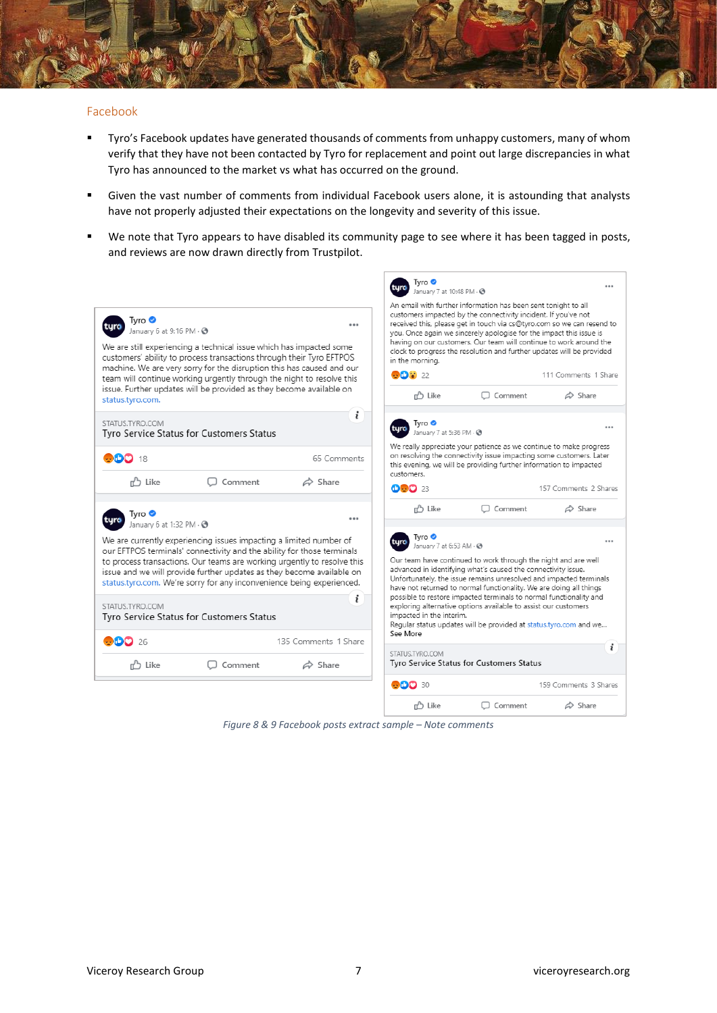

#### Facebook

- Tyro's Facebook updates have generated thousands of comments from unhappy customers, many of whom verify that they have not been contacted by Tyro for replacement and point out large discrepancies in what Tyro has announced to the market vs what has occurred on the ground.
- Given the vast number of comments from individual Facebook users alone, it is astounding that analysts have not properly adjusted their expectations on the longevity and severity of this issue.
- We note that Tyro appears to have disabled its community page to see where it has been tagged in posts, and reviews are now drawn directly from Trustpilot.

| Tvro <b>⊙</b><br>January 6 at 9:16 PM $\cdot$ $\odot$<br>We are still experiencing a technical issue which has impacted some<br>customers' ability to process transactions through their Tyro EFTPOS<br>machine. We are very sorry for the disruption this has caused and our<br>team will continue working urgently through the night to resolve this<br>issue. Further updates will be provided as they become available on<br>status.tyro.com. | 0.0.0                | Tyro <b>O</b><br>January 7 at 10:48 PM - @<br>An email with further information has been sent tonight to all<br>customers impacted by the connectivity incident. If you've not<br>received this, please get in touch via cs@tyro.com so we can resend to<br>you. Once again we sincerely apologise for the impact this issue is<br>having on our customers. Our team will continue to work around the<br>clock to progress the resolution and further updates will be provided<br>in the morning.<br><b>OD:</b> 22<br>n <sup>2</sup> Like | $\Box$ Comment | 111 Comments 1 Share<br>$\triangle$ Share |
|---------------------------------------------------------------------------------------------------------------------------------------------------------------------------------------------------------------------------------------------------------------------------------------------------------------------------------------------------------------------------------------------------------------------------------------------------|----------------------|-------------------------------------------------------------------------------------------------------------------------------------------------------------------------------------------------------------------------------------------------------------------------------------------------------------------------------------------------------------------------------------------------------------------------------------------------------------------------------------------------------------------------------------------|----------------|-------------------------------------------|
| STATUS.TYRO.COM<br>Tyro Service Status for Customers Status                                                                                                                                                                                                                                                                                                                                                                                       | i                    | Tvro ●<br>turo<br>January 7 at 5:36 PM - @                                                                                                                                                                                                                                                                                                                                                                                                                                                                                                |                | $- - -$                                   |
| <b>DDD</b> 18                                                                                                                                                                                                                                                                                                                                                                                                                                     | 65 Comments          | We really appreciate your patience as we continue to make progress<br>on resolving the connectivity issue impacting some customers. Later<br>this evening, we will be providing further information to impacted<br>customers.                                                                                                                                                                                                                                                                                                             |                |                                           |
| n <sup>2</sup> Like<br>Comment                                                                                                                                                                                                                                                                                                                                                                                                                    | $\triangle$ Share    | <b>DDD</b> 23                                                                                                                                                                                                                                                                                                                                                                                                                                                                                                                             |                | 157 Comments 2 Shares                     |
| Tvro <b>⊙</b><br>January 6 at 1:32 PM . @                                                                                                                                                                                                                                                                                                                                                                                                         |                      | r <sup>3</sup> Like                                                                                                                                                                                                                                                                                                                                                                                                                                                                                                                       | $\Box$ Comment | $\triangle$ Share                         |
| We are currently experiencing issues impacting a limited number of<br>our EFTPOS terminals' connectivity and the ability for those terminals<br>to process transactions. Our teams are working urgently to resolve this<br>issue and we will provide further updates as they become available on<br>status.tyro.com. We're sorry for any inconvenience being experienced.<br>STATUS.TYRO.COM<br>Tyro Service Status for Customers Status          | i                    | Tyro ●<br>January 7 at 6:53 AM - @<br>Our team have continued to work through the night and are well<br>advanced in identifying what's caused the connectivity issue.<br>Unfortunately, the issue remains unresolved and impacted terminals<br>have not returned to normal functionality. We are doing all things<br>possible to restore impacted terminals to normal functionality and<br>exploring alternative options available to assist our customers<br>impacted in the interim.                                                    |                |                                           |
| -26                                                                                                                                                                                                                                                                                                                                                                                                                                               | 135 Comments 1 Share | Regular status updates will be provided at status.tyro.com and we<br>See More                                                                                                                                                                                                                                                                                                                                                                                                                                                             |                |                                           |
| Comment<br>n <sup>2</sup> Like                                                                                                                                                                                                                                                                                                                                                                                                                    | $\triangle$ Share    | STATUS.TYRO.COM<br>Tyro Service Status for Customers Status                                                                                                                                                                                                                                                                                                                                                                                                                                                                               |                |                                           |
|                                                                                                                                                                                                                                                                                                                                                                                                                                                   |                      | <b>ODD</b> 30                                                                                                                                                                                                                                                                                                                                                                                                                                                                                                                             |                | 159 Comments 3 Shares                     |
|                                                                                                                                                                                                                                                                                                                                                                                                                                                   |                      | ה Like                                                                                                                                                                                                                                                                                                                                                                                                                                                                                                                                    | $\Box$ Comment | $\Leftrightarrow$ Share                   |

*Figure 8 & 9 Facebook posts extract sample – Note comments*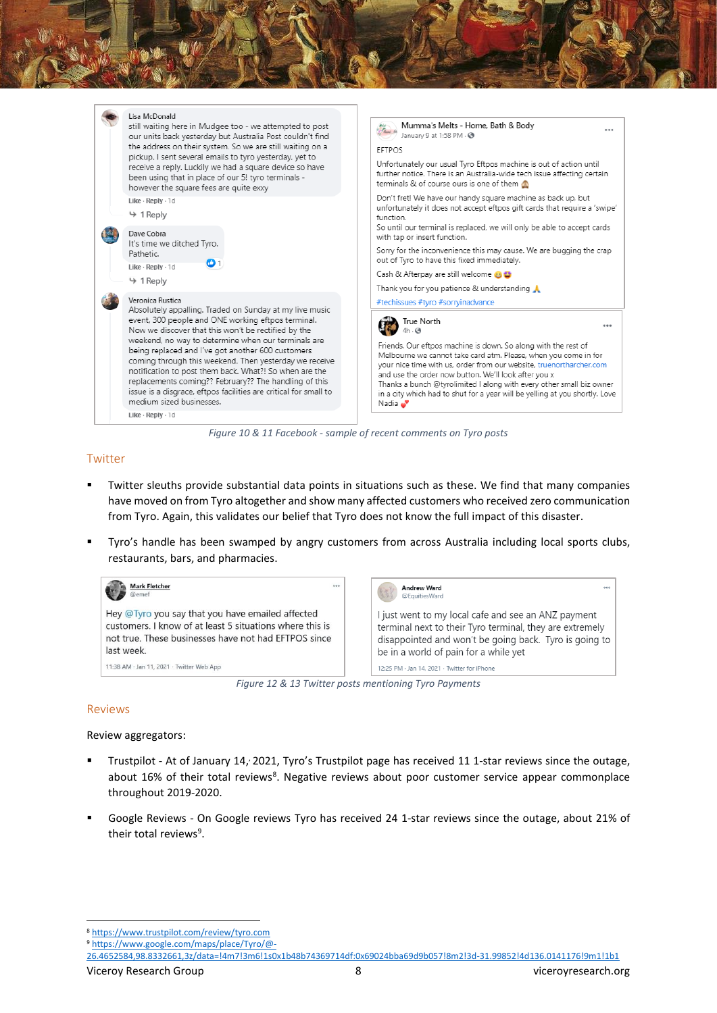

*Figure 10 & 11 Facebook - sample of recent comments on Tyro posts*

## Twitter

- Twitter sleuths provide substantial data points in situations such as these. We find that many companies have moved on from Tyro altogether and show many affected customers who received zero communication from Tyro. Again, this validates our belief that Tyro does not know the full impact of this disaster.
- Tyro's handle has been swamped by angry customers from across Australia including local sports clubs, restaurants, bars, and pharmacies.



*Figure 12 & 13 Twitter posts mentioning Tyro Payments*

#### Reviews

Review aggregators:

- Trustpilot At of January 14, 2021, Tyro's Trustpilot page has received 11 1-star reviews since the outage, about 16% of their total reviews<sup>8</sup>. Negative reviews about poor customer service appear commonplace throughout 2019-2020.
- Google Reviews On Google reviews Tyro has received 24 1-star reviews since the outage, about 21% of their total reviews<sup>9</sup>.

[26.4652584,98.8332661,3z/data=!4m7!3m6!1s0x1b48b74369714df:0x69024bba69d9b057!8m2!3d-31.99852!4d136.0141176!9m1!1b1](https://www.google.com/maps/place/Tyro/@-26.4652584,98.8332661,3z/data=!4m7!3m6!1s0x1b48b74369714df:0x69024bba69d9b057!8m2!3d-31.99852!4d136.0141176!9m1!1b1)

<sup>8</sup> <https://www.trustpilot.com/review/tyro.com>

<sup>9</sup> [https://www.google.com/maps/place/Tyro/@-](https://www.google.com/maps/place/Tyro/@-26.4652584,98.8332661,3z/data=!4m7!3m6!1s0x1b48b74369714df:0x69024bba69d9b057!8m2!3d-31.99852!4d136.0141176!9m1!1b1)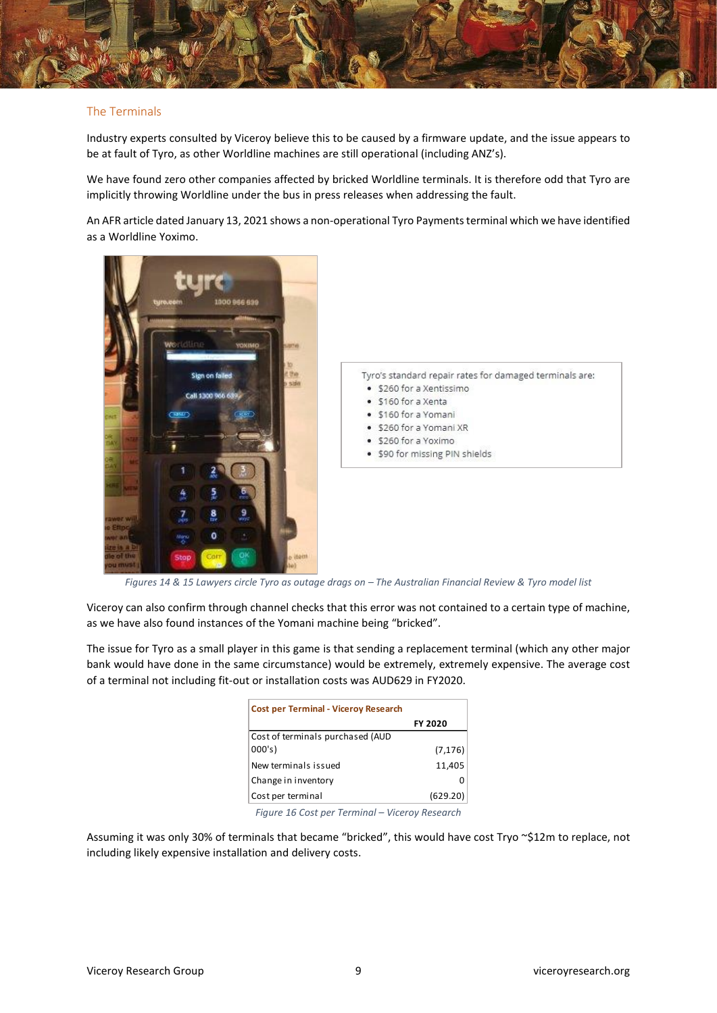

#### The Terminals

Industry experts consulted by Viceroy believe this to be caused by a firmware update, and the issue appears to be at fault of Tyro, as other Worldline machines are still operational (including ANZ's).

We have found zero other companies affected by bricked Worldline terminals. It is therefore odd that Tyro are implicitly throwing Worldline under the bus in press releases when addressing the fault.

An AFR article dated January 13, 2021 shows a non-operational Tyro Payments terminal which we have identified as a Worldline Yoximo.



*Figures 14 & 15 Lawyers circle Tyro as outage drags on – The Australian Financial Review & Tyro model list*

Viceroy can also confirm through channel checks that this error was not contained to a certain type of machine, as we have also found instances of the Yomani machine being "bricked".

The issue for Tyro as a small player in this game is that sending a replacement terminal (which any other major bank would have done in the same circumstance) would be extremely, extremely expensive. The average cost of a terminal not including fit-out or installation costs was AUD629 in FY2020.

| <b>Cost per Terminal - Viceroy Research</b> |          |
|---------------------------------------------|----------|
|                                             | FY 2020  |
| Cost of terminals purchased (AUD            |          |
| 000's                                       | (7, 176) |
| New terminals issued                        | 11,405   |
| Change in inventory                         |          |
| Cost per terminal                           | (629.20) |
|                                             |          |

*Figure 16 Cost per Terminal – Viceroy Research*

Assuming it was only 30% of terminals that became "bricked", this would have cost Tryo ~\$12m to replace, not including likely expensive installation and delivery costs.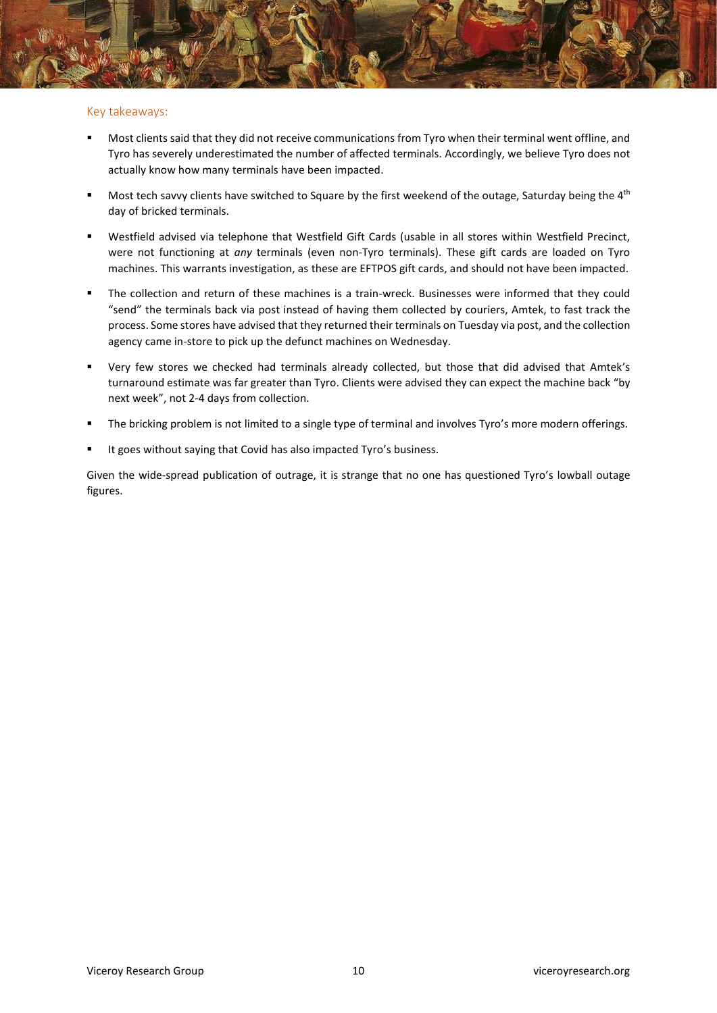#### Key takeaways:

- Most clients said that they did not receive communications from Tyro when their terminal went offline, and Tyro has severely underestimated the number of affected terminals. Accordingly, we believe Tyro does not actually know how many terminals have been impacted.
- Most tech savvy clients have switched to Square by the first weekend of the outage, Saturday being the  $4<sup>th</sup>$ day of bricked terminals.
- Westfield advised via telephone that Westfield Gift Cards (usable in all stores within Westfield Precinct, were not functioning at *any* terminals (even non-Tyro terminals). These gift cards are loaded on Tyro machines. This warrants investigation, as these are EFTPOS gift cards, and should not have been impacted.
- The collection and return of these machines is a train-wreck. Businesses were informed that they could "send" the terminals back via post instead of having them collected by couriers, Amtek, to fast track the process. Some stores have advised that they returned their terminals on Tuesday via post, and the collection agency came in-store to pick up the defunct machines on Wednesday.
- Very few stores we checked had terminals already collected, but those that did advised that Amtek's turnaround estimate was far greater than Tyro. Clients were advised they can expect the machine back "by next week", not 2-4 days from collection.
- The bricking problem is not limited to a single type of terminal and involves Tyro's more modern offerings.
- It goes without saying that Covid has also impacted Tyro's business.

Given the wide-spread publication of outrage, it is strange that no one has questioned Tyro's lowball outage figures.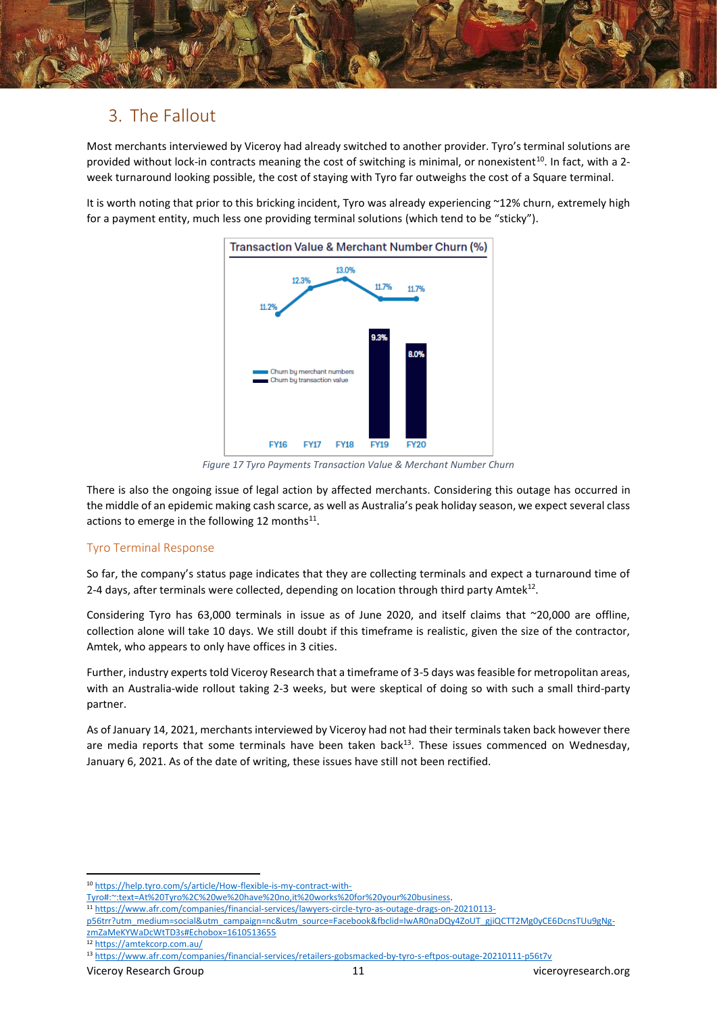

# 3. The Fallout

Most merchants interviewed by Viceroy had already switched to another provider. Tyro's terminal solutions are provided without lock-in contracts meaning the cost of switching is minimal, or nonexistent<sup>10</sup>. In fact, with a 2week turnaround looking possible, the cost of staying with Tyro far outweighs the cost of a Square terminal.

It is worth noting that prior to this bricking incident, Tyro was already experiencing ~12% churn, extremely high for a payment entity, much less one providing terminal solutions (which tend to be "sticky").



*Figure 17 Tyro Payments Transaction Value & Merchant Number Churn* 

There is also the ongoing issue of legal action by affected merchants. Considering this outage has occurred in the middle of an epidemic making cash scarce, as well as Australia's peak holiday season, we expect several class actions to emerge in the following 12 months $^{11}$ .

## Tyro Terminal Response

So far, the company's status page indicates that they are collecting terminals and expect a turnaround time of 2-4 days, after terminals were collected, depending on location through third party Amtek<sup>12</sup>.

Considering Tyro has 63,000 terminals in issue as of June 2020, and itself claims that ~20,000 are offline, collection alone will take 10 days. We still doubt if this timeframe is realistic, given the size of the contractor, Amtek, who appears to only have offices in 3 cities.

Further, industry experts told Viceroy Research that a timeframe of 3-5 days was feasible for metropolitan areas, with an Australia-wide rollout taking 2-3 weeks, but were skeptical of doing so with such a small third-party partner.

As of January 14, 2021, merchants interviewed by Viceroy had not had their terminals taken back however there are media reports that some terminals have been taken back<sup>13</sup>. These issues commenced on Wednesday, January 6, 2021. As of the date of writing, these issues have still not been rectified.

<sup>12</sup> <https://amtekcorp.com.au/>

<sup>10</sup> [https://help.tyro.com/s/article/How-flexible-is-my-contract-with-](https://help.tyro.com/s/article/How-flexible-is-my-contract-with-Tyro#:~:text=At%20Tyro%2C%20we%20have%20no,it%20works%20for%20your%20business)

[Tyro#:~:text=At%20Tyro%2C%20we%20have%20no,it%20works%20for%20your%20business.](https://help.tyro.com/s/article/How-flexible-is-my-contract-with-Tyro#:~:text=At%20Tyro%2C%20we%20have%20no,it%20works%20for%20your%20business)

<sup>11</sup> [https://www.afr.com/companies/financial-services/lawyers-circle-tyro-as-outage-drags-on-20210113-](https://www.afr.com/companies/financial-services/lawyers-circle-tyro-as-outage-drags-on-20210113-p56trr?utm_medium=social&utm_campaign=nc&utm_source=Facebook&fbclid=IwAR0naDQy4ZoUT_gjiQCTT2Mg0yCE6DcnsTUu9gNg-zmZaMeKYWaDcWtTD3s#Echobox=1610513655)

[p56trr?utm\\_medium=social&utm\\_campaign=nc&utm\\_source=Facebook&fbclid=IwAR0naDQy4ZoUT\\_gjiQCTT2Mg0yCE6DcnsTUu9gNg](https://www.afr.com/companies/financial-services/lawyers-circle-tyro-as-outage-drags-on-20210113-p56trr?utm_medium=social&utm_campaign=nc&utm_source=Facebook&fbclid=IwAR0naDQy4ZoUT_gjiQCTT2Mg0yCE6DcnsTUu9gNg-zmZaMeKYWaDcWtTD3s#Echobox=1610513655)[zmZaMeKYWaDcWtTD3s#Echobox=1610513655](https://www.afr.com/companies/financial-services/lawyers-circle-tyro-as-outage-drags-on-20210113-p56trr?utm_medium=social&utm_campaign=nc&utm_source=Facebook&fbclid=IwAR0naDQy4ZoUT_gjiQCTT2Mg0yCE6DcnsTUu9gNg-zmZaMeKYWaDcWtTD3s#Echobox=1610513655)

<sup>13</sup> <https://www.afr.com/companies/financial-services/retailers-gobsmacked-by-tyro-s-eftpos-outage-20210111-p56t7v>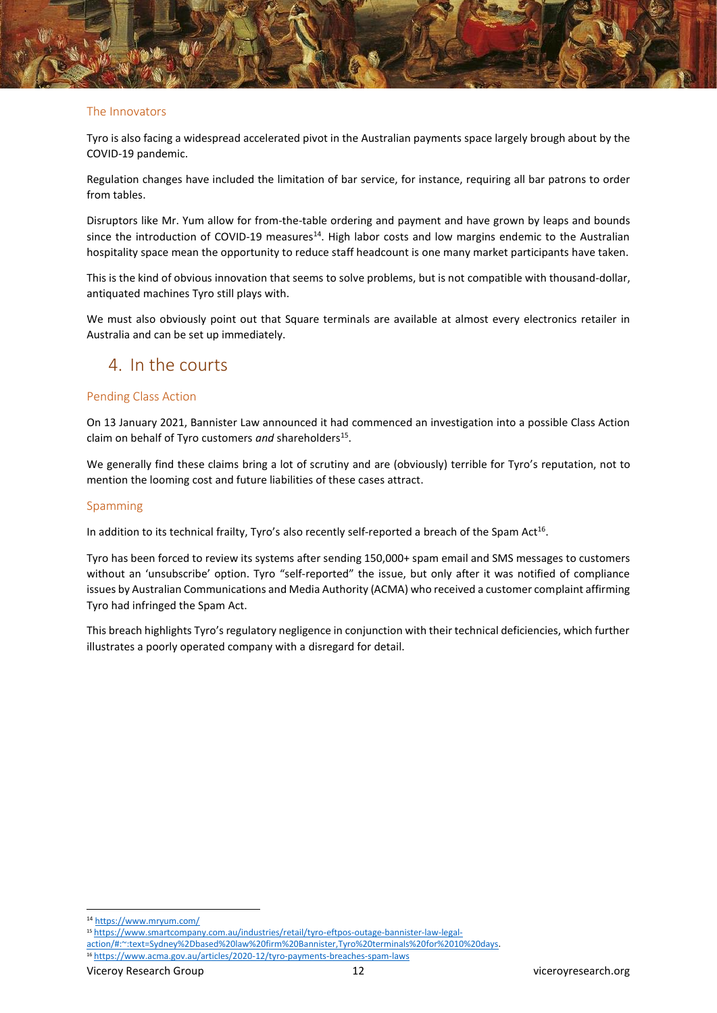

Tyro is also facing a widespread accelerated pivot in the Australian payments space largely brough about by the COVID-19 pandemic.

Regulation changes have included the limitation of bar service, for instance, requiring all bar patrons to order from tables.

Disruptors like Mr. Yum allow for from-the-table ordering and payment and have grown by leaps and bounds since the introduction of COVID-19 measures<sup>14</sup>. High labor costs and low margins endemic to the Australian hospitality space mean the opportunity to reduce staff headcount is one many market participants have taken.

This is the kind of obvious innovation that seems to solve problems, but is not compatible with thousand-dollar, antiquated machines Tyro still plays with.

We must also obviously point out that Square terminals are available at almost every electronics retailer in Australia and can be set up immediately.

## 4. In the courts

#### Pending Class Action

On 13 January 2021, Bannister Law announced it had commenced an investigation into a possible Class Action claim on behalf of Tyro customers and shareholders<sup>15</sup>.

We generally find these claims bring a lot of scrutiny and are (obviously) terrible for Tyro's reputation, not to mention the looming cost and future liabilities of these cases attract.

#### Spamming

In addition to its technical frailty, Tyro's also recently self-reported a breach of the Spam Act<sup>16</sup>.

Tyro has been forced to review its systems after sending 150,000+ spam email and SMS messages to customers without an 'unsubscribe' option. Tyro "self-reported" the issue, but only after it was notified of compliance issues by Australian Communications and Media Authority (ACMA) who received a customer complaint affirming Tyro had infringed the Spam Act.

This breach highlights Tyro's regulatory negligence in conjunction with their technical deficiencies, which further illustrates a poorly operated company with a disregard for detail.

<sup>14</sup> <https://www.mryum.com/>

<sup>15</sup> [https://www.smartcompany.com.au/industries/retail/tyro-eftpos-outage-bannister-law-legal-](https://www.smartcompany.com.au/industries/retail/tyro-eftpos-outage-bannister-law-legal-action/#:~:text=Sydney%2Dbased%20law%20firm%20Bannister,Tyro%20terminals%20for%2010%20days)

[action/#:~:text=Sydney%2Dbased%20law%20firm%20Bannister,Tyro%20terminals%20for%2010%20days.](https://www.smartcompany.com.au/industries/retail/tyro-eftpos-outage-bannister-law-legal-action/#:~:text=Sydney%2Dbased%20law%20firm%20Bannister,Tyro%20terminals%20for%2010%20days)

<sup>16</sup> <https://www.acma.gov.au/articles/2020-12/tyro-payments-breaches-spam-laws>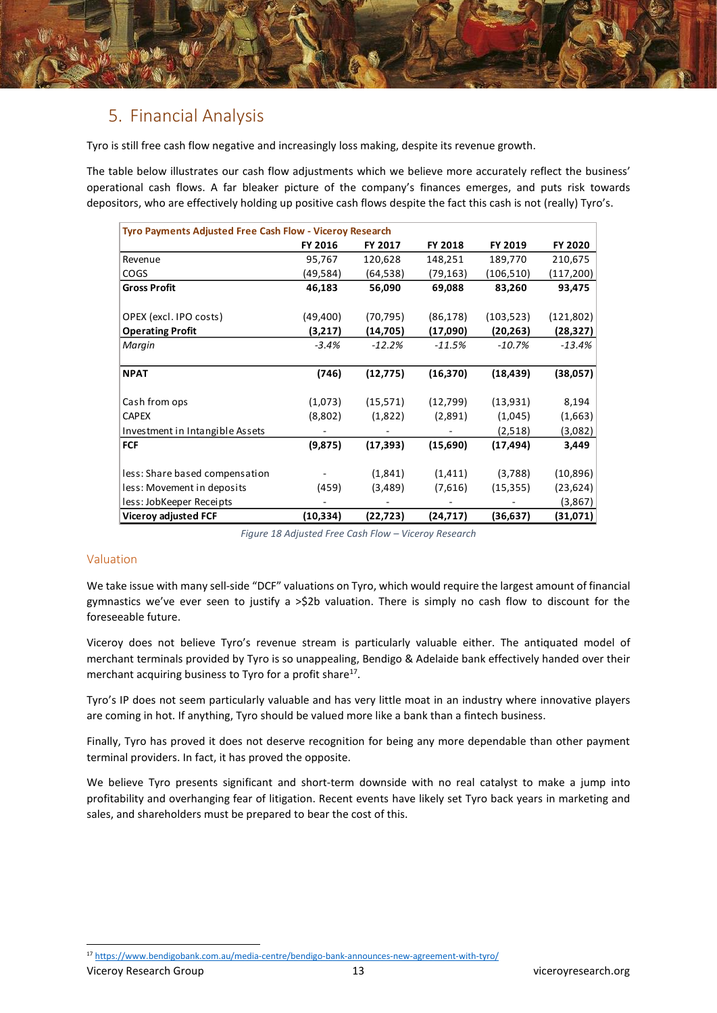

# 5. Financial Analysis

Tyro is still free cash flow negative and increasingly loss making, despite its revenue growth.

The table below illustrates our cash flow adjustments which we believe more accurately reflect the business' operational cash flows. A far bleaker picture of the company's finances emerges, and puts risk towards depositors, who are effectively holding up positive cash flows despite the fact this cash is not (really) Tyro's.

| Tyro Payments Adjusted Free Cash Flow - Viceroy Research |           |           |           |            |            |
|----------------------------------------------------------|-----------|-----------|-----------|------------|------------|
|                                                          | FY 2016   | FY 2017   | FY 2018   | FY 2019    | FY 2020    |
| Revenue                                                  | 95,767    | 120,628   | 148,251   | 189,770    | 210,675    |
| <b>COGS</b>                                              | (49,584)  | (64, 538) | (79,163)  | (106,510)  | (117, 200) |
| <b>Gross Profit</b>                                      | 46,183    | 56,090    | 69,088    | 83,260     | 93,475     |
|                                                          |           |           |           |            |            |
| OPEX (excl. IPO costs)                                   | (49, 400) | (70, 795) | (86, 178) | (103, 523) | (121,802)  |
| <b>Operating Profit</b>                                  | (3,217)   | (14, 705) | (17,090)  | (20, 263)  | (28,327)   |
| Margin                                                   | $-3.4%$   | $-12.2%$  | $-11.5%$  | $-10.7%$   | $-13.4%$   |
| <b>NPAT</b>                                              | (746)     | (12, 775) | (16, 370) | (18, 439)  | (38,057)   |
| Cash from ops                                            | (1,073)   | (15, 571) | (12,799)  | (13, 931)  | 8,194      |
| <b>CAPEX</b>                                             | (8,802)   | (1,822)   | (2,891)   | (1,045)    | (1,663)    |
| Investment in Intangible Assets                          |           |           |           | (2,518)    | (3,082)    |
| <b>FCF</b>                                               | (9,875)   | (17, 393) | (15,690)  | (17, 494)  | 3,449      |
| less: Share based compensation                           |           | (1,841)   | (1, 411)  | (3,788)    | (10, 896)  |
| less: Movement in deposits                               | (459)     | (3,489)   | (7,616)   | (15, 355)  | (23, 624)  |
| less: JobKeeper Receipts                                 |           |           |           |            | (3,867)    |
| Viceroy adjusted FCF                                     | (10,334)  | (22,723)  | (24,717)  | (36,637)   | (31,071)   |

*Figure 18 Adjusted Free Cash Flow – Viceroy Research*

## Valuation

We take issue with many sell-side "DCF" valuations on Tyro, which would require the largest amount of financial gymnastics we've ever seen to justify a >\$2b valuation. There is simply no cash flow to discount for the foreseeable future.

Viceroy does not believe Tyro's revenue stream is particularly valuable either. The antiquated model of merchant terminals provided by Tyro is so unappealing, Bendigo & Adelaide bank effectively handed over their merchant acquiring business to Tyro for a profit share<sup>17</sup>.

Tyro's IP does not seem particularly valuable and has very little moat in an industry where innovative players are coming in hot. If anything, Tyro should be valued more like a bank than a fintech business.

Finally, Tyro has proved it does not deserve recognition for being any more dependable than other payment terminal providers. In fact, it has proved the opposite.

We believe Tyro presents significant and short-term downside with no real catalyst to make a jump into profitability and overhanging fear of litigation. Recent events have likely set Tyro back years in marketing and sales, and shareholders must be prepared to bear the cost of this.

<sup>17</sup> <https://www.bendigobank.com.au/media-centre/bendigo-bank-announces-new-agreement-with-tyro/>